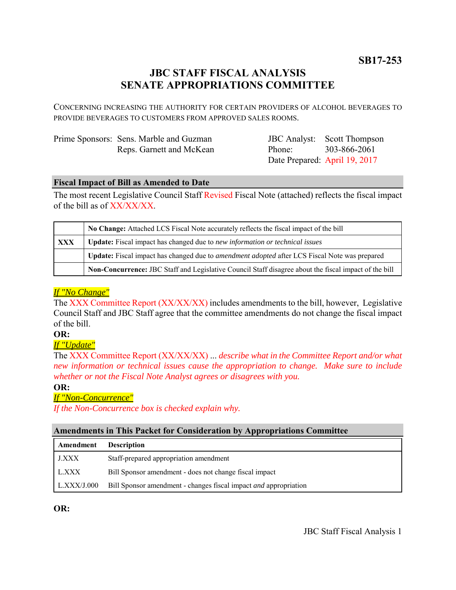**SB17-253**

# **JBC STAFF FISCAL ANALYSIS SENATE APPROPRIATIONS COMMITTEE**

CONCERNING INCREASING THE AUTHORITY FOR CERTAIN PROVIDERS OF ALCOHOL BEVERAGES TO PROVIDE BEVERAGES TO CUSTOMERS FROM APPROVED SALES ROOMS.

| Prime Sponsors: Sens. Marble and Guzman |
|-----------------------------------------|
| Reps. Garnett and McKean                |

JBC Analyst: Scott Thompson Phone: Date Prepared: April 19, 2017 303-866-2061

### **Fiscal Impact of Bill as Amended to Date**

The most recent Legislative Council Staff Revised Fiscal Note (attached) reflects the fiscal impact of the bill as of XX/XX/XX.

|            | No Change: Attached LCS Fiscal Note accurately reflects the fiscal impact of the bill                 |  |
|------------|-------------------------------------------------------------------------------------------------------|--|
| <b>XXX</b> | <b>Update:</b> Fiscal impact has changed due to new information or technical issues                   |  |
|            | Update: Fiscal impact has changed due to <i>amendment adopted</i> after LCS Fiscal Note was prepared  |  |
|            | Non-Concurrence: JBC Staff and Legislative Council Staff disagree about the fiscal impact of the bill |  |

## *If "No Change"*

The XXX Committee Report (XX/XX/XX) includes amendments to the bill, however, Legislative Council Staff and JBC Staff agree that the committee amendments do not change the fiscal impact of the bill.

### **OR:**

## *If "Update"*

The XXX Committee Report (XX/XX/XX) ... *describe what in the Committee Report and/or what new information or technical issues cause the appropriation to change. Make sure to include whether or not the Fiscal Note Analyst agrees or disagrees with you.*

### **OR:**

## *If "Non-Concurrence"*

*If the Non-Concurrence box is checked explain why.* 

### **Amendments in This Packet for Consideration by Appropriations Committee**

| Amendment          | <b>Description</b>                                                      |
|--------------------|-------------------------------------------------------------------------|
| J.XXX              | Staff-prepared appropriation amendment                                  |
| L.XXX              | Bill Sponsor amendment - does not change fiscal impact                  |
| $\mid$ L.XXX/J.000 | Bill Sponsor amendment - changes fiscal impact <i>and</i> appropriation |

**OR:**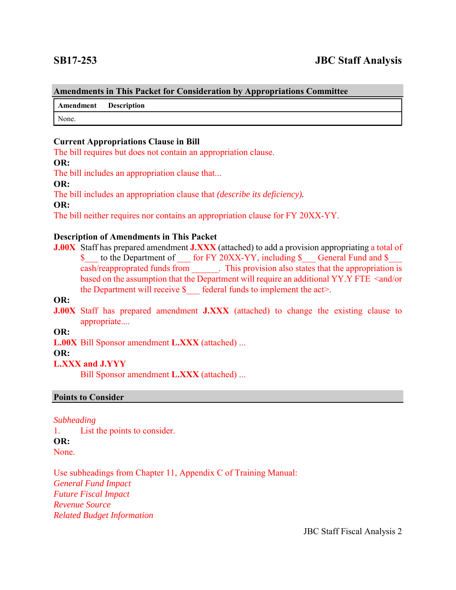#### **Amendments in This Packet for Consideration by Appropriations Committee**

**Amendment Description**

None.

#### **Current Appropriations Clause in Bill**

The bill requires but does not contain an appropriation clause.

#### **OR:**

The bill includes an appropriation clause that...

#### **OR:**

The bill includes an appropriation clause that *(describe its deficiency).*

#### **OR:**

The bill neither requires nor contains an appropriation clause for FY 20XX-YY.

#### **Description of Amendments in This Packet**

**J.00X** Staff has prepared amendment **J.XXX** (attached) to add a provision appropriating a total of \$ to the Department of for FY 20XX-YY, including \$ General Fund and \$ cash/reapproprated funds from \_\_\_\_\_\_. This provision also states that the appropriation is based on the assumption that the Department will require an additional YY.Y FTE <and/or the Department will receive  $\S$  federal funds to implement the act>.

## **OR:**

**J.00X** Staff has prepared amendment **J.XXX** (attached) to change the existing clause to appropriate....

#### **OR:**

**L.00X** Bill Sponsor amendment **L.XXX** (attached) ...

#### **OR:**

### **L.XXX and J.YYY**

Bill Sponsor amendment **L.XXX** (attached) ...

#### **Points to Consider**

#### *Subheading*

1. List the points to consider. **OR:** None.

Use subheadings from Chapter 11, Appendix C of Training Manual: *General Fund Impact Future Fiscal Impact Revenue Source Related Budget Information*